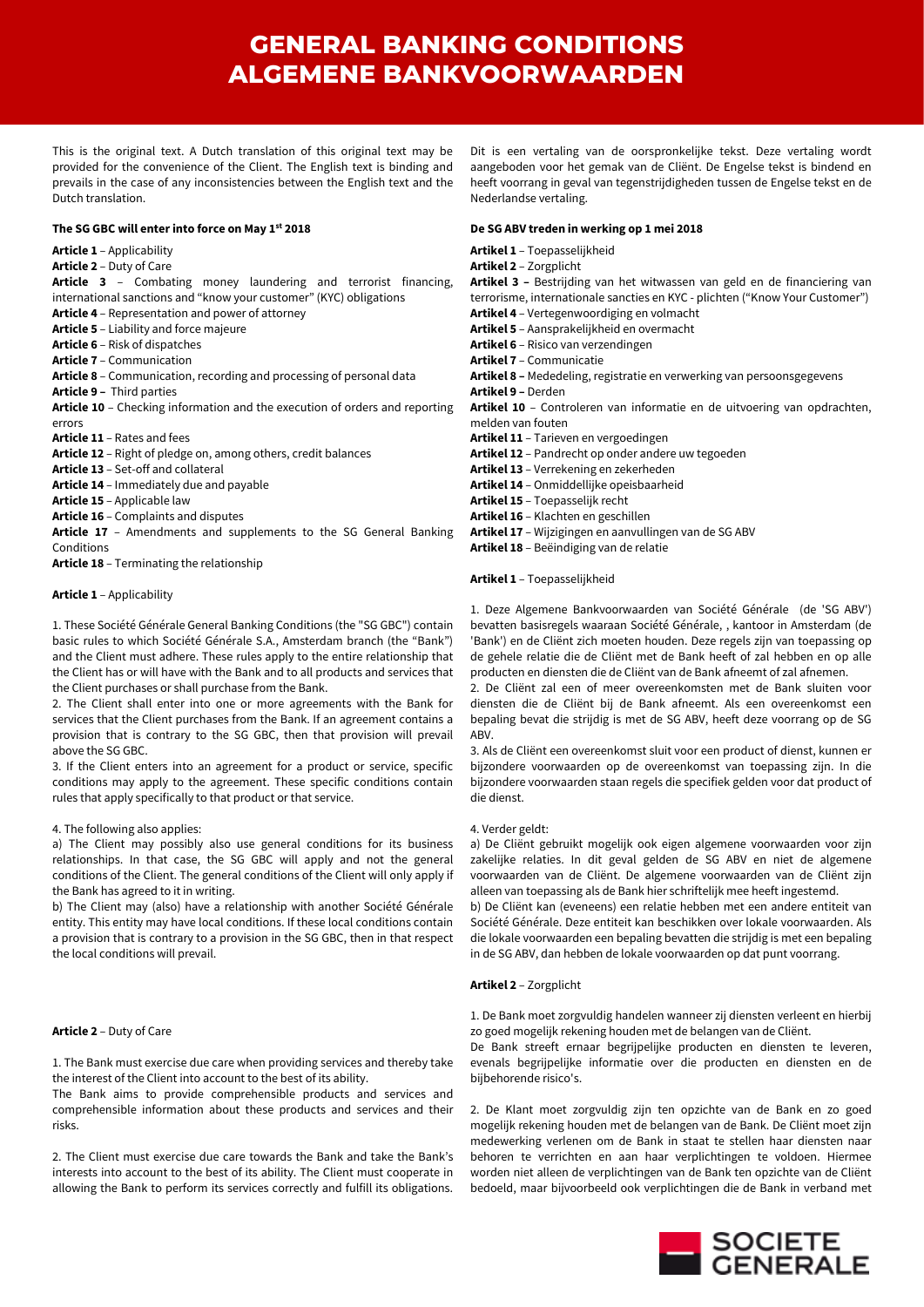This is the original text. A Dutch translation of this original text may be provided for the convenience of the Client. The English text is binding and prevails in the case of any inconsistencies between the English text and the Dutch translation.

#### **The SG GBC will enter into force on May 1st 2018**

### **Article 1** – Applicability

## **Article 2** – Duty of Care

**Article 3** – Combating money laundering and terrorist financing, international sanctions and "know your customer" (KYC) obligations

- **Article 4**  Representation and power of attorney
- **Article 5**  Liability and force majeure
- **Article 6**  Risk of dispatches
- **Article 7**  Communication
- **Article 8**  Communication, recording and processing of personal data

**Article 9 –** Third parties

- **Article 10**  Checking information and the execution of orders and reporting errors
- **Article 11**  Rates and fees
- **Article 12**  Right of pledge on, among others, credit balances
- **Article 13**  Set-off and collateral
- **Article 14**  Immediately due and payable
- **Article 15**  Applicable law
- **Article 16**  Complaints and disputes

**Article 17** – Amendments and supplements to the SG General Banking Conditions

**Article 18** – Terminating the relationship

#### **Article 1** – Applicability

1. These Société Générale General Banking Conditions (the "SG GBC") contain basic rules to which Société Générale S.A., Amsterdam branch (the "Bank") and the Client must adhere. These rules apply to the entire relationship that the Client has or will have with the Bank and to all products and services that the Client purchases or shall purchase from the Bank.

2. The Client shall enter into one or more agreements with the Bank for services that the Client purchases from the Bank. If an agreement contains a provision that is contrary to the SG GBC, then that provision will prevail above the SG GBC.

3. If the Client enters into an agreement for a product or service, specific conditions may apply to the agreement. These specific conditions contain rules that apply specifically to that product or that service.

#### 4. The following also applies:

a) The Client may possibly also use general conditions for its business relationships. In that case, the SG GBC will apply and not the general conditions of the Client. The general conditions of the Client will only apply if the Bank has agreed to it in writing.

b) The Client may (also) have a relationship with another Société Générale entity. This entity may have local conditions. If these local conditions contain a provision that is contrary to a provision in the SG GBC, then in that respect the local conditions will prevail.

## **Article 2** – Duty of Care

1. The Bank must exercise due care when providing services and thereby take the interest of the Client into account to the best of its ability.

The Bank aims to provide comprehensible products and services and comprehensible information about these products and services and their risks.

2. The Client must exercise due care towards the Bank and take the Bank's interests into account to the best of its ability. The Client must cooperate in allowing the Bank to perform its services correctly and fulfill its obligations.

Dit is een vertaling van de oorspronkelijke tekst. Deze vertaling wordt aangeboden voor het gemak van de Cliënt. De Engelse tekst is bindend en heeft voorrang in geval van tegenstrijdigheden tussen de Engelse tekst en de Nederlandse vertaling.

#### **De SG ABV treden in werking op 1 mei 2018**

**Artikel 1** – Toepasselijkheid

**Artikel 2** – Zorgplicht

**Artikel 3 –** Bestrijding van het witwassen van geld en de financiering van terrorisme, internationale sancties en KYC - plichten ("Know Your Customer") **Artikel 4** – Vertegenwoordiging en volmacht

- **Artikel 5** Aansprakelijkheid en overmacht
- **Artikel 6** Risico van verzendingen
- **Artikel 7** Communicatie

**Artikel 8 –** Mededeling, registratie en verwerking van persoonsgegevens

**Artikel 9 –** Derden

**Artikel 10** – Controleren van informatie en de uitvoering van opdrachten, melden van fouten

- **Artikel 11** Tarieven en vergoedingen
- **Artikel 12** Pandrecht op onder andere uw tegoeden
- **Artikel 13** Verrekening en zekerheden
- **Artikel 14** Onmiddellijke opeisbaarheid
- **Artikel 15** Toepasselijk recht
- **Artikel 16** Klachten en geschillen
- **Artikel 17** Wijzigingen en aanvullingen van de SG ABV
- **Artikel 18** Beëindiging van de relatie

#### **Artikel 1** – Toepasselijkheid

1. Deze Algemene Bankvoorwaarden van Société Générale (de 'SG ABV') bevatten basisregels waaraan Société Générale, , kantoor in Amsterdam (de 'Bank') en de Cliënt zich moeten houden. Deze regels zijn van toepassing op de gehele relatie die de Cliënt met de Bank heeft of zal hebben en op alle producten en diensten die de Cliënt van de Bank afneemt of zal afnemen.

2. De Cliënt zal een of meer overeenkomsten met de Bank sluiten voor diensten die de Cliënt bij de Bank afneemt. Als een overeenkomst een bepaling bevat die strijdig is met de SG ABV, heeft deze voorrang op de SG ABV.

3. Als de Cliënt een overeenkomst sluit voor een product of dienst, kunnen er bijzondere voorwaarden op de overeenkomst van toepassing zijn. In die bijzondere voorwaarden staan regels die specifiek gelden voor dat product of die dienst.

#### 4. Verder geldt:

a) De Cliënt gebruikt mogelijk ook eigen algemene voorwaarden voor zijn zakelijke relaties. In dit geval gelden de SG ABV en niet de algemene voorwaarden van de Cliënt. De algemene voorwaarden van de Cliënt zijn alleen van toepassing als de Bank hier schriftelijk mee heeft ingestemd.

b) De Cliënt kan (eveneens) een relatie hebben met een andere entiteit van Société Générale. Deze entiteit kan beschikken over lokale voorwaarden. Als die lokale voorwaarden een bepaling bevatten die strijdig is met een bepaling in de SG ABV, dan hebben de lokale voorwaarden op dat punt voorrang.

#### **Artikel 2** – Zorgplicht

1. De Bank moet zorgvuldig handelen wanneer zij diensten verleent en hierbij zo goed mogelijk rekening houden met de belangen van de Cliënt.

De Bank streeft ernaar begrijpelijke producten en diensten te leveren, evenals begrijpelijke informatie over die producten en diensten en de bijbehorende risico's.

2. De Klant moet zorgvuldig zijn ten opzichte van de Bank en zo goed mogelijk rekening houden met de belangen van de Bank. De Cliënt moet zijn medewerking verlenen om de Bank in staat te stellen haar diensten naar behoren te verrichten en aan haar verplichtingen te voldoen. Hiermee worden niet alleen de verplichtingen van de Bank ten opzichte van de Cliënt bedoeld, maar bijvoorbeeld ook verplichtingen die de Bank in verband met

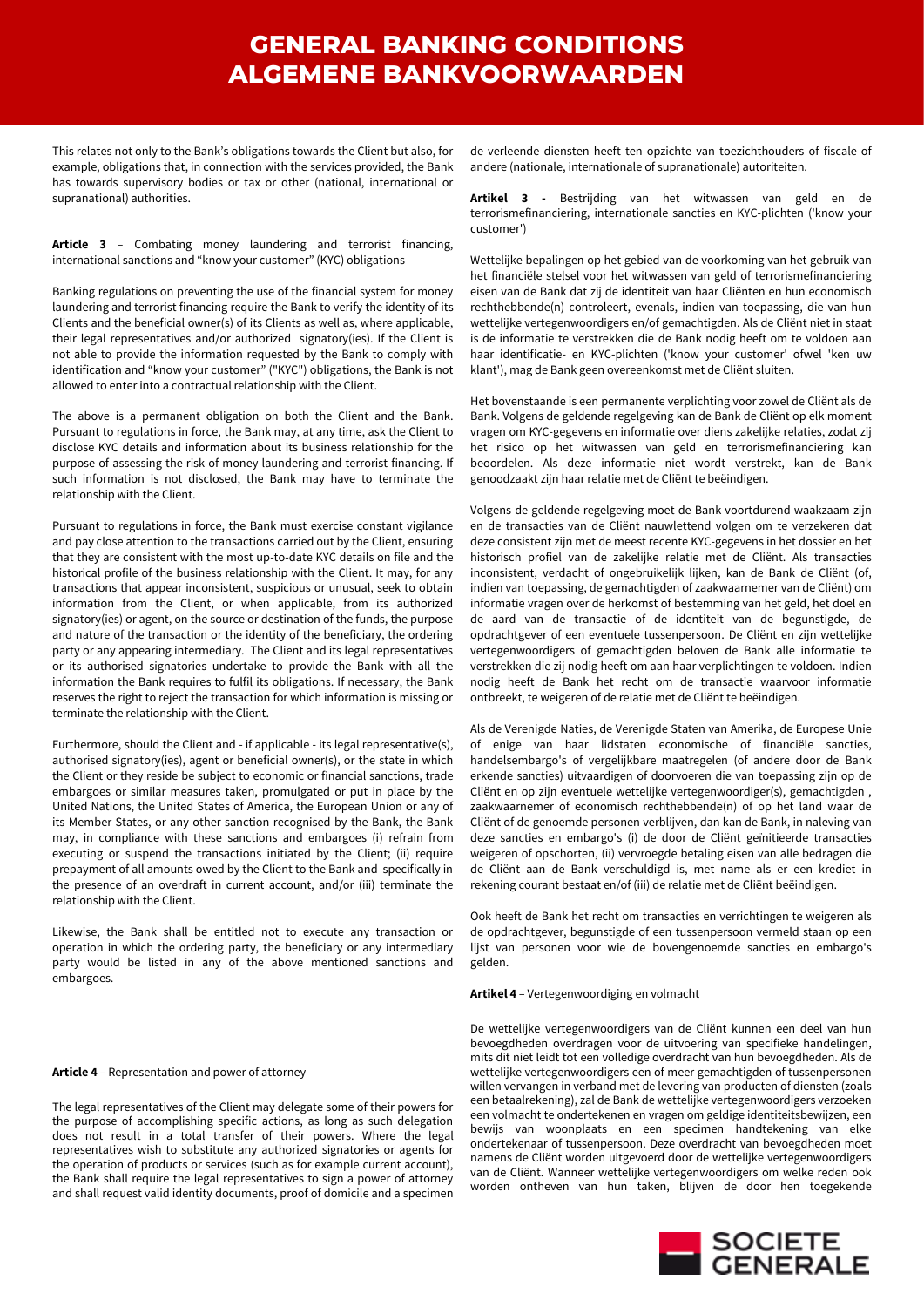This relates not only to the Bank's obligations towards the Client but also, for example, obligations that, in connection with the services provided, the Bank has towards supervisory bodies or tax or other (national, international or supranational) authorities.

**Article 3** – Combating money laundering and terrorist financing, international sanctions and "know your customer" (KYC) obligations

Banking regulations on preventing the use of the financial system for money laundering and terrorist financing require the Bank to verify the identity of its Clients and the beneficial owner(s) of its Clients as well as, where applicable, their legal representatives and/or authorized signatory(ies). If the Client is not able to provide the information requested by the Bank to comply with identification and "know your customer" ("KYC") obligations, the Bank is not allowed to enter into a contractual relationship with the Client.

The above is a permanent obligation on both the Client and the Bank. Pursuant to regulations in force, the Bank may, at any time, ask the Client to disclose KYC details and information about its business relationship for the purpose of assessing the risk of money laundering and terrorist financing. If such information is not disclosed, the Bank may have to terminate the relationship with the Client.

Pursuant to regulations in force, the Bank must exercise constant vigilance and pay close attention to the transactions carried out by the Client, ensuring that they are consistent with the most up-to-date KYC details on file and the historical profile of the business relationship with the Client. It may, for any transactions that appear inconsistent, suspicious or unusual, seek to obtain information from the Client, or when applicable, from its authorized signatory(ies) or agent, on the source or destination of the funds, the purpose and nature of the transaction or the identity of the beneficiary, the ordering party or any appearing intermediary. The Client and its legal representatives or its authorised signatories undertake to provide the Bank with all the information the Bank requires to fulfil its obligations. If necessary, the Bank reserves the right to reject the transaction for which information is missing or terminate the relationship with the Client.

Furthermore, should the Client and - if applicable - its legal representative(s), authorised signatory(ies), agent or beneficial owner(s), or the state in which the Client or they reside be subject to economic or financial sanctions, trade embargoes or similar measures taken, promulgated or put in place by the United Nations, the United States of America, the European Union or any of its Member States, or any other sanction recognised by the Bank, the Bank may, in compliance with these sanctions and embargoes (i) refrain from executing or suspend the transactions initiated by the Client; (ii) require prepayment of all amounts owed by the Client to the Bank and specifically in the presence of an overdraft in current account, and/or (iii) terminate the relationship with the Client.

Likewise, the Bank shall be entitled not to execute any transaction or operation in which the ordering party, the beneficiary or any intermediary party would be listed in any of the above mentioned sanctions and embargoes.

#### **Article 4** – Representation and power of attorney

The legal representatives of the Client may delegate some of their powers for the purpose of accomplishing specific actions, as long as such delegation does not result in a total transfer of their powers. Where the legal representatives wish to substitute any authorized signatories or agents for the operation of products or services (such as for example current account), the Bank shall require the legal representatives to sign a power of attorney and shall request valid identity documents, proof of domicile and a specimen

de verleende diensten heeft ten opzichte van toezichthouders of fiscale of andere (nationale, internationale of supranationale) autoriteiten.

**Artikel 3 -** Bestrijding van het witwassen van geld en de terrorismefinanciering, internationale sancties en KYC-plichten ('know your customer')

Wettelijke bepalingen op het gebied van de voorkoming van het gebruik van het financiële stelsel voor het witwassen van geld of terrorismefinanciering eisen van de Bank dat zij de identiteit van haar Cliënten en hun economisch rechthebbende(n) controleert, evenals, indien van toepassing, die van hun wettelijke vertegenwoordigers en/of gemachtigden. Als de Cliënt niet in staat is de informatie te verstrekken die de Bank nodig heeft om te voldoen aan haar identificatie- en KYC-plichten ('know your customer' ofwel 'ken uw klant'), mag de Bank geen overeenkomst met de Cliënt sluiten.

Het bovenstaande is een permanente verplichting voor zowel de Cliënt als de Bank. Volgens de geldende regelgeving kan de Bank de Cliënt op elk moment vragen om KYC-gegevens en informatie over diens zakelijke relaties, zodat zij het risico op het witwassen van geld en terrorismefinanciering kan beoordelen. Als deze informatie niet wordt verstrekt, kan de Bank genoodzaakt zijn haar relatie met de Cliënt te beëindigen.

Volgens de geldende regelgeving moet de Bank voortdurend waakzaam zijn en de transacties van de Cliënt nauwlettend volgen om te verzekeren dat deze consistent zijn met de meest recente KYC-gegevens in het dossier en het historisch profiel van de zakelijke relatie met de Cliënt. Als transacties inconsistent, verdacht of ongebruikelijk lijken, kan de Bank de Cliënt (of, indien van toepassing, de gemachtigden of zaakwaarnemer van de Cliënt) om informatie vragen over de herkomst of bestemming van het geld, het doel en de aard van de transactie of de identiteit van de begunstigde, de opdrachtgever of een eventuele tussenpersoon. De Cliënt en zijn wettelijke vertegenwoordigers of gemachtigden beloven de Bank alle informatie te verstrekken die zij nodig heeft om aan haar verplichtingen te voldoen. Indien nodig heeft de Bank het recht om de transactie waarvoor informatie ontbreekt, te weigeren of de relatie met de Cliënt te beëindigen.

Als de Verenigde Naties, de Verenigde Staten van Amerika, de Europese Unie of enige van haar lidstaten economische of financiële sancties, handelsembargo's of vergelijkbare maatregelen (of andere door de Bank erkende sancties) uitvaardigen of doorvoeren die van toepassing zijn op de Cliënt en op zijn eventuele wettelijke vertegenwoordiger(s), gemachtigden , zaakwaarnemer of economisch rechthebbende(n) of op het land waar de Cliënt of de genoemde personen verblijven, dan kan de Bank, in naleving van deze sancties en embargo's (i) de door de Cliënt geïnitieerde transacties weigeren of opschorten, (ii) vervroegde betaling eisen van alle bedragen die de Cliënt aan de Bank verschuldigd is, met name als er een krediet in rekening courant bestaat en/of (iii) de relatie met de Cliënt beëindigen.

Ook heeft de Bank het recht om transacties en verrichtingen te weigeren als de opdrachtgever, begunstigde of een tussenpersoon vermeld staan op een lijst van personen voor wie de bovengenoemde sancties en embargo's gelden.

### **Artikel 4** – Vertegenwoordiging en volmacht

De wettelijke vertegenwoordigers van de Cliënt kunnen een deel van hun bevoegdheden overdragen voor de uitvoering van specifieke handelingen, mits dit niet leidt tot een volledige overdracht van hun bevoegdheden. Als de wettelijke vertegenwoordigers een of meer gemachtigden of tussenpersonen willen vervangen in verband met de levering van producten of diensten (zoals een betaalrekening), zal de Bank de wettelijke vertegenwoordigers verzoeken een volmacht te ondertekenen en vragen om geldige identiteitsbewijzen, een bewijs van woonplaats en een specimen handtekening van elke ondertekenaar of tussenpersoon. Deze overdracht van bevoegdheden moet namens de Cliënt worden uitgevoerd door de wettelijke vertegenwoordigers van de Cliënt. Wanneer wettelijke vertegenwoordigers om welke reden ook worden ontheven van hun taken, blijven de door hen toegekende

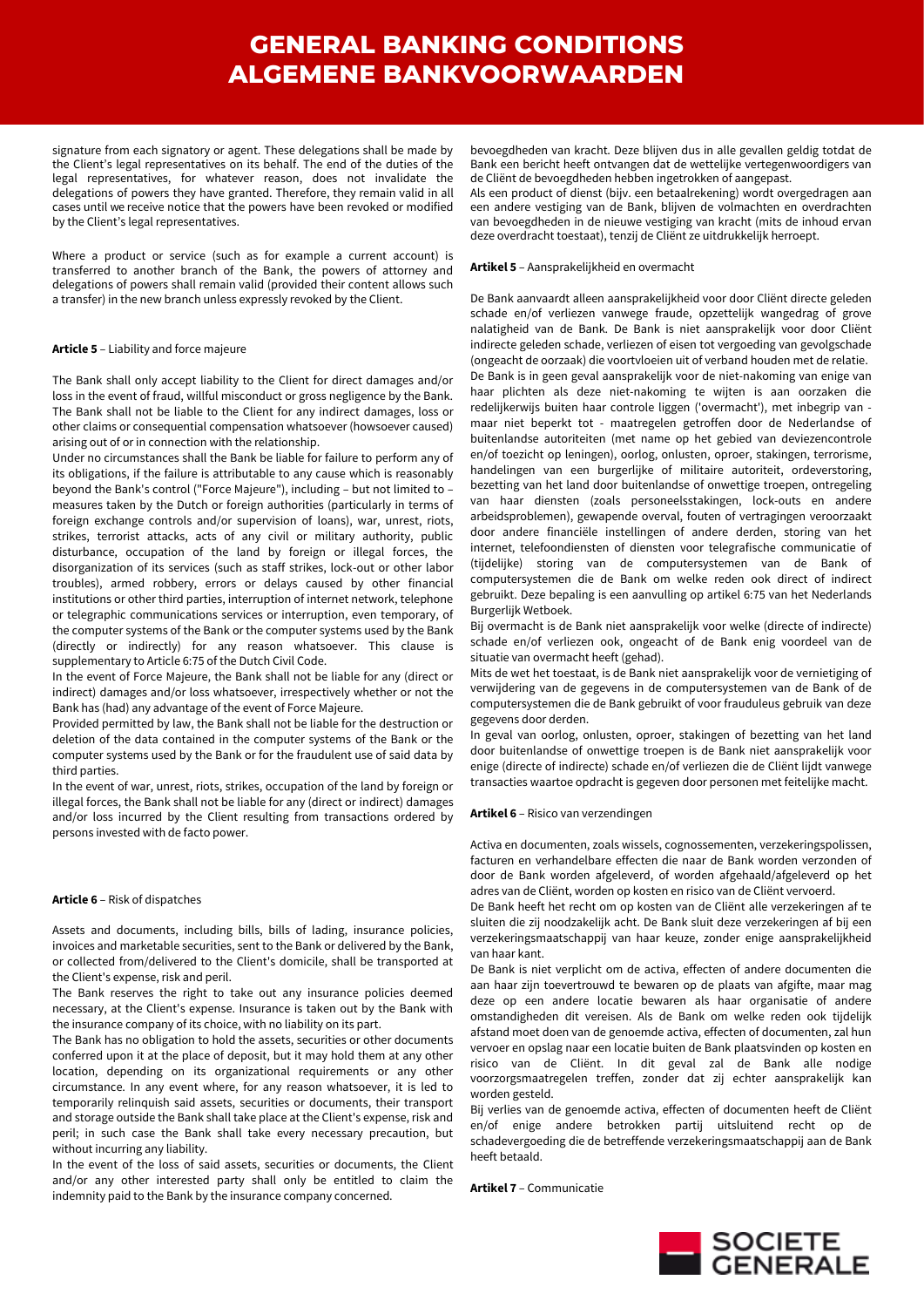signature from each signatory or agent. These delegations shall be made by the Client's legal representatives on its behalf. The end of the duties of the legal representatives, for whatever reason, does not invalidate the delegations of powers they have granted. Therefore, they remain valid in all cases until we receive notice that the powers have been revoked or modified by the Client's legal representatives.

Where a product or service (such as for example a current account) is transferred to another branch of the Bank, the powers of attorney and delegations of powers shall remain valid (provided their content allows such a transfer) in the new branch unless expressly revoked by the Client.

### **Article 5** – Liability and force majeure

The Bank shall only accept liability to the Client for direct damages and/or loss in the event of fraud, willful misconduct or gross negligence by the Bank. The Bank shall not be liable to the Client for any indirect damages, loss or other claims or consequential compensation whatsoever (howsoever caused) arising out of or in connection with the relationship.

Under no circumstances shall the Bank be liable for failure to perform any of its obligations, if the failure is attributable to any cause which is reasonably beyond the Bank's control ("Force Majeure"), including – but not limited to – measures taken by the Dutch or foreign authorities (particularly in terms of foreign exchange controls and/or supervision of loans), war, unrest, riots, strikes, terrorist attacks, acts of any civil or military authority, public disturbance, occupation of the land by foreign or illegal forces, the disorganization of its services (such as staff strikes, lock-out or other labor troubles), armed robbery, errors or delays caused by other financial institutions or other third parties, interruption of internet network, telephone or telegraphic communications services or interruption, even temporary, of the computer systems of the Bank or the computer systems used by the Bank (directly or indirectly) for any reason whatsoever. This clause is supplementary to Article 6:75 of the Dutch Civil Code.

In the event of Force Majeure, the Bank shall not be liable for any (direct or indirect) damages and/or loss whatsoever, irrespectively whether or not the Bank has (had) any advantage of the event of Force Majeure.

Provided permitted by law, the Bank shall not be liable for the destruction or deletion of the data contained in the computer systems of the Bank or the computer systems used by the Bank or for the fraudulent use of said data by third parties.

In the event of war, unrest, riots, strikes, occupation of the land by foreign or illegal forces, the Bank shall not be liable for any (direct or indirect) damages and/or loss incurred by the Client resulting from transactions ordered by persons invested with de facto power.

#### **Article 6** – Risk of dispatches

Assets and documents, including bills, bills of lading, insurance policies, invoices and marketable securities, sent to the Bank or delivered by the Bank, or collected from/delivered to the Client's domicile, shall be transported at the Client's expense, risk and peril.

The Bank reserves the right to take out any insurance policies deemed necessary, at the Client's expense. Insurance is taken out by the Bank with the insurance company of its choice, with no liability on its part.

The Bank has no obligation to hold the assets, securities or other documents conferred upon it at the place of deposit, but it may hold them at any other location, depending on its organizational requirements or any other circumstance. In any event where, for any reason whatsoever, it is led to temporarily relinquish said assets, securities or documents, their transport and storage outside the Bank shall take place at the Client's expense, risk and peril; in such case the Bank shall take every necessary precaution, but without incurring any liability.

In the event of the loss of said assets, securities or documents, the Client and/or any other interested party shall only be entitled to claim the indemnity paid to the Bank by the insurance company concerned.

bevoegdheden van kracht. Deze blijven dus in alle gevallen geldig totdat de Bank een bericht heeft ontvangen dat de wettelijke vertegenwoordigers van de Cliënt de bevoegdheden hebben ingetrokken of aangepast.

Als een product of dienst (bijv. een betaalrekening) wordt overgedragen aan een andere vestiging van de Bank, blijven de volmachten en overdrachten van bevoegdheden in de nieuwe vestiging van kracht (mits de inhoud ervan deze overdracht toestaat), tenzij de Cliënt ze uitdrukkelijk herroept.

### **Artikel 5** – Aansprakelijkheid en overmacht

De Bank aanvaardt alleen aansprakelijkheid voor door Cliënt directe geleden schade en/of verliezen vanwege fraude, opzettelijk wangedrag of grove nalatigheid van de Bank. De Bank is niet aansprakelijk voor door Cliënt indirecte geleden schade, verliezen of eisen tot vergoeding van gevolgschade (ongeacht de oorzaak) die voortvloeien uit of verband houden met de relatie. De Bank is in geen geval aansprakelijk voor de niet-nakoming van enige van haar plichten als deze niet-nakoming te wijten is aan oorzaken die redelijkerwijs buiten haar controle liggen ('overmacht'), met inbegrip van maar niet beperkt tot - maatregelen getroffen door de Nederlandse of buitenlandse autoriteiten (met name op het gebied van deviezencontrole en/of toezicht op leningen), oorlog, onlusten, oproer, stakingen, terrorisme, handelingen van een burgerlijke of militaire autoriteit, ordeverstoring, bezetting van het land door buitenlandse of onwettige troepen, ontregeling van haar diensten (zoals personeelsstakingen, lock-outs en andere arbeidsproblemen), gewapende overval, fouten of vertragingen veroorzaakt door andere financiële instellingen of andere derden, storing van het internet, telefoondiensten of diensten voor telegrafische communicatie of (tijdelijke) storing van de computersystemen van de Bank of computersystemen die de Bank om welke reden ook direct of indirect gebruikt. Deze bepaling is een aanvulling op artikel 6:75 van het Nederlands Burgerlijk Wetboek.

Bij overmacht is de Bank niet aansprakelijk voor welke (directe of indirecte) schade en/of verliezen ook, ongeacht of de Bank enig voordeel van de situatie van overmacht heeft (gehad).

Mits de wet het toestaat, is de Bank niet aansprakelijk voor de vernietiging of verwijdering van de gegevens in de computersystemen van de Bank of de computersystemen die de Bank gebruikt of voor frauduleus gebruik van deze gegevens door derden.

In geval van oorlog, onlusten, oproer, stakingen of bezetting van het land door buitenlandse of onwettige troepen is de Bank niet aansprakelijk voor enige (directe of indirecte) schade en/of verliezen die de Cliënt lijdt vanwege transacties waartoe opdracht is gegeven door personen met feitelijke macht.

#### **Artikel 6** – Risico van verzendingen

Activa en documenten, zoals wissels, cognossementen, verzekeringspolissen, facturen en verhandelbare effecten die naar de Bank worden verzonden of door de Bank worden afgeleverd, of worden afgehaald/afgeleverd op het adres van de Cliënt, worden op kosten en risico van de Cliënt vervoerd.

De Bank heeft het recht om op kosten van de Cliënt alle verzekeringen af te sluiten die zij noodzakelijk acht. De Bank sluit deze verzekeringen af bij een verzekeringsmaatschappij van haar keuze, zonder enige aansprakelijkheid van haar kant.

De Bank is niet verplicht om de activa, effecten of andere documenten die aan haar zijn toevertrouwd te bewaren op de plaats van afgifte, maar mag deze op een andere locatie bewaren als haar organisatie of andere omstandigheden dit vereisen. Als de Bank om welke reden ook tijdelijk afstand moet doen van de genoemde activa, effecten of documenten, zal hun vervoer en opslag naar een locatie buiten de Bank plaatsvinden op kosten en risico van de Cliënt. In dit geval zal de Bank alle nodige voorzorgsmaatregelen treffen, zonder dat zij echter aansprakelijk kan worden gesteld.

Bij verlies van de genoemde activa, effecten of documenten heeft de Cliënt en/of enige andere betrokken partij uitsluitend recht op de schadevergoeding die de betreffende verzekeringsmaatschappij aan de Bank heeft betaald.

**Artikel 7** – Communicatie

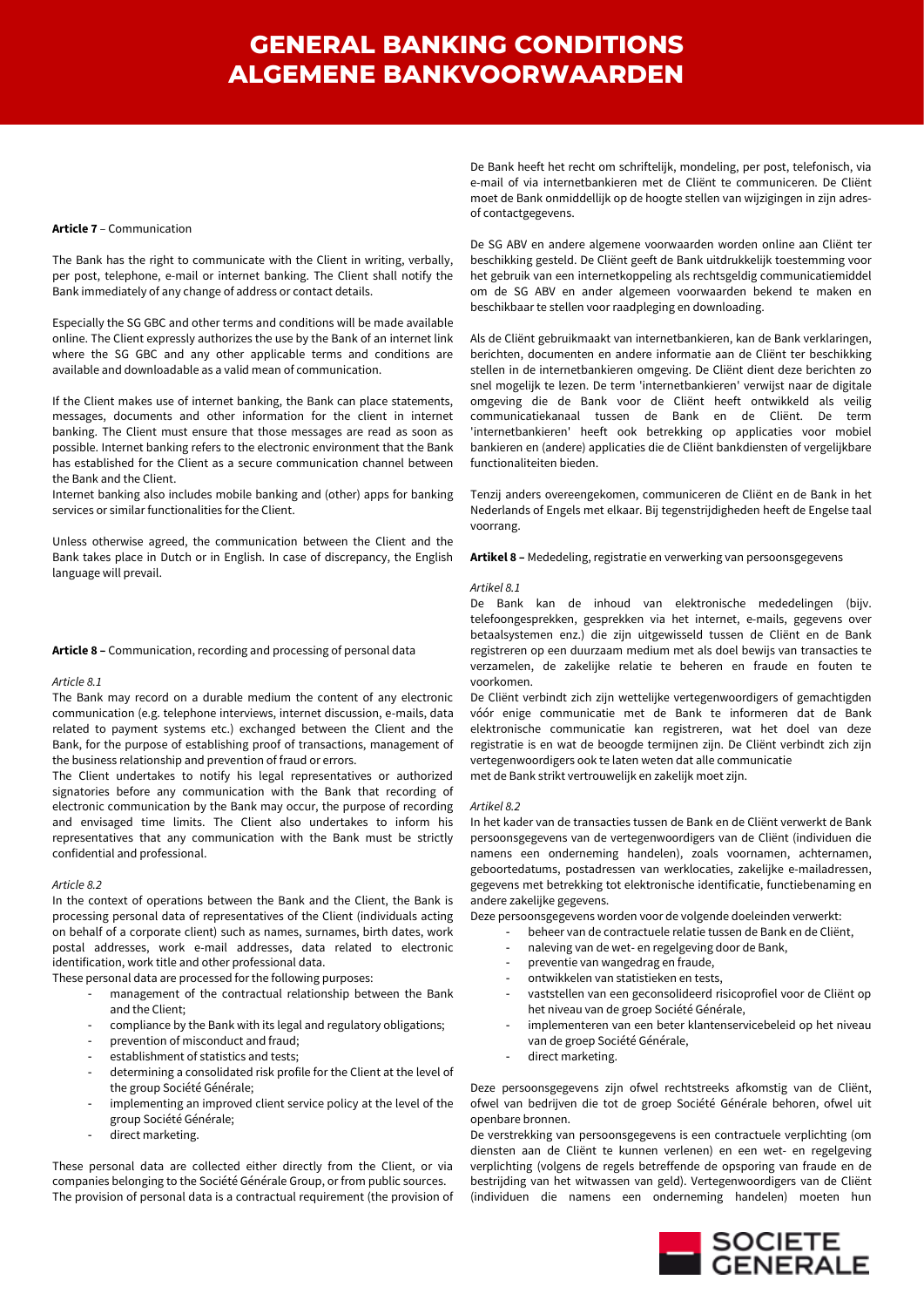#### **Article 7** – Communication

The Bank has the right to communicate with the Client in writing, verbally, per post, telephone, e-mail or internet banking. The Client shall notify the Bank immediately of any change of address or contact details.

Especially the SG GBC and other terms and conditions will be made available online. The Client expressly authorizes the use by the Bank of an internet link where the SG GBC and any other applicable terms and conditions are available and downloadable as a valid mean of communication.

If the Client makes use of internet banking, the Bank can place statements, messages, documents and other information for the client in internet banking. The Client must ensure that those messages are read as soon as possible. Internet banking refers to the electronic environment that the Bank has established for the Client as a secure communication channel between the Bank and the Client.

Internet banking also includes mobile banking and (other) apps for banking services or similar functionalities for the Client.

Unless otherwise agreed, the communication between the Client and the Bank takes place in Dutch or in English. In case of discrepancy, the English language will prevail.

## **Article 8 –** Communication, recording and processing of personal data

#### *Article 8.1*

The Bank may record on a durable medium the content of any electronic communication (e.g. telephone interviews, internet discussion, e-mails, data related to payment systems etc.) exchanged between the Client and the Bank, for the purpose of establishing proof of transactions, management of the business relationship and prevention of fraud or errors.

The Client undertakes to notify his legal representatives or authorized signatories before any communication with the Bank that recording of electronic communication by the Bank may occur, the purpose of recording and envisaged time limits. The Client also undertakes to inform his representatives that any communication with the Bank must be strictly confidential and professional.

### *Article 8.2*

In the context of operations between the Bank and the Client, the Bank is processing personal data of representatives of the Client (individuals acting on behalf of a corporate client) such as names, surnames, birth dates, work postal addresses, work e-mail addresses, data related to electronic identification, work title and other professional data.

These personal data are processed for the following purposes:

- management of the contractual relationship between the Bank and the Client;
- compliance by the Bank with its legal and regulatory obligations;
- prevention of misconduct and fraud;
- establishment of statistics and tests;
- determining a consolidated risk profile for the Client at the level of the group Société Générale;
- implementing an improved client service policy at the level of the group Société Générale;
- direct marketing.

These personal data are collected either directly from the Client, or via companies belonging to the Société Générale Group, or from public sources. The provision of personal data is a contractual requirement (the provision of

De Bank heeft het recht om schriftelijk, mondeling, per post, telefonisch, via e-mail of via internetbankieren met de Cliënt te communiceren. De Cliënt moet de Bank onmiddellijk op de hoogte stellen van wijzigingen in zijn adresof contactgegevens.

De SG ABV en andere algemene voorwaarden worden online aan Cliënt ter beschikking gesteld. De Cliënt geeft de Bank uitdrukkelijk toestemming voor het gebruik van een internetkoppeling als rechtsgeldig communicatiemiddel om de SG ABV en ander algemeen voorwaarden bekend te maken en beschikbaar te stellen voor raadpleging en downloading.

Als de Cliënt gebruikmaakt van internetbankieren, kan de Bank verklaringen, berichten, documenten en andere informatie aan de Cliënt ter beschikking stellen in de internetbankieren omgeving. De Cliënt dient deze berichten zo snel mogelijk te lezen. De term 'internetbankieren' verwijst naar de digitale omgeving die de Bank voor de Cliënt heeft ontwikkeld als veilig communicatiekanaal tussen de Bank en de Cliënt. De term 'internetbankieren' heeft ook betrekking op applicaties voor mobiel bankieren en (andere) applicaties die de Cliënt bankdiensten of vergelijkbare functionaliteiten bieden.

Tenzij anders overeengekomen, communiceren de Cliënt en de Bank in het Nederlands of Engels met elkaar. Bij tegenstrijdigheden heeft de Engelse taal voorrang.

**Artikel 8 –** Mededeling, registratie en verwerking van persoonsgegevens

#### *Artikel 8.1*

De Bank kan de inhoud van elektronische mededelingen (bijv. telefoongesprekken, gesprekken via het internet, e-mails, gegevens over betaalsystemen enz.) die zijn uitgewisseld tussen de Cliënt en de Bank registreren op een duurzaam medium met als doel bewijs van transacties te verzamelen, de zakelijke relatie te beheren en fraude en fouten te voorkomen.

De Cliënt verbindt zich zijn wettelijke vertegenwoordigers of gemachtigden vóór enige communicatie met de Bank te informeren dat de Bank elektronische communicatie kan registreren, wat het doel van deze registratie is en wat de beoogde termijnen zijn. De Cliënt verbindt zich zijn vertegenwoordigers ook te laten weten dat alle communicatie met de Bank strikt vertrouwelijk en zakelijk moet zijn.

#### *Artikel 8.2*

In het kader van de transacties tussen de Bank en de Cliënt verwerkt de Bank persoonsgegevens van de vertegenwoordigers van de Cliënt (individuen die namens een onderneming handelen), zoals voornamen, achternamen, geboortedatums, postadressen van werklocaties, zakelijke e-mailadressen, gegevens met betrekking tot elektronische identificatie, functiebenaming en andere zakelijke gegevens.

Deze persoonsgegevens worden voor de volgende doeleinden verwerkt:

- beheer van de contractuele relatie tussen de Bank en de Cliënt,
- naleving van de wet- en regelgeving door de Bank,
- preventie van wangedrag en fraude,
- ontwikkelen van statistieken en tests,
- vaststellen van een geconsolideerd risicoprofiel voor de Cliënt op het niveau van de groep Société Générale,
- implementeren van een beter klantenservicebeleid op het niveau van de groep Société Générale,
- direct marketing.

Deze persoonsgegevens zijn ofwel rechtstreeks afkomstig van de Cliënt, ofwel van bedrijven die tot de groep Société Générale behoren, ofwel uit openbare bronnen.

De verstrekking van persoonsgegevens is een contractuele verplichting (om diensten aan de Cliënt te kunnen verlenen) en een wet- en regelgeving verplichting (volgens de regels betreffende de opsporing van fraude en de bestrijding van het witwassen van geld). Vertegenwoordigers van de Cliënt (individuen die namens een onderneming handelen) moeten hun

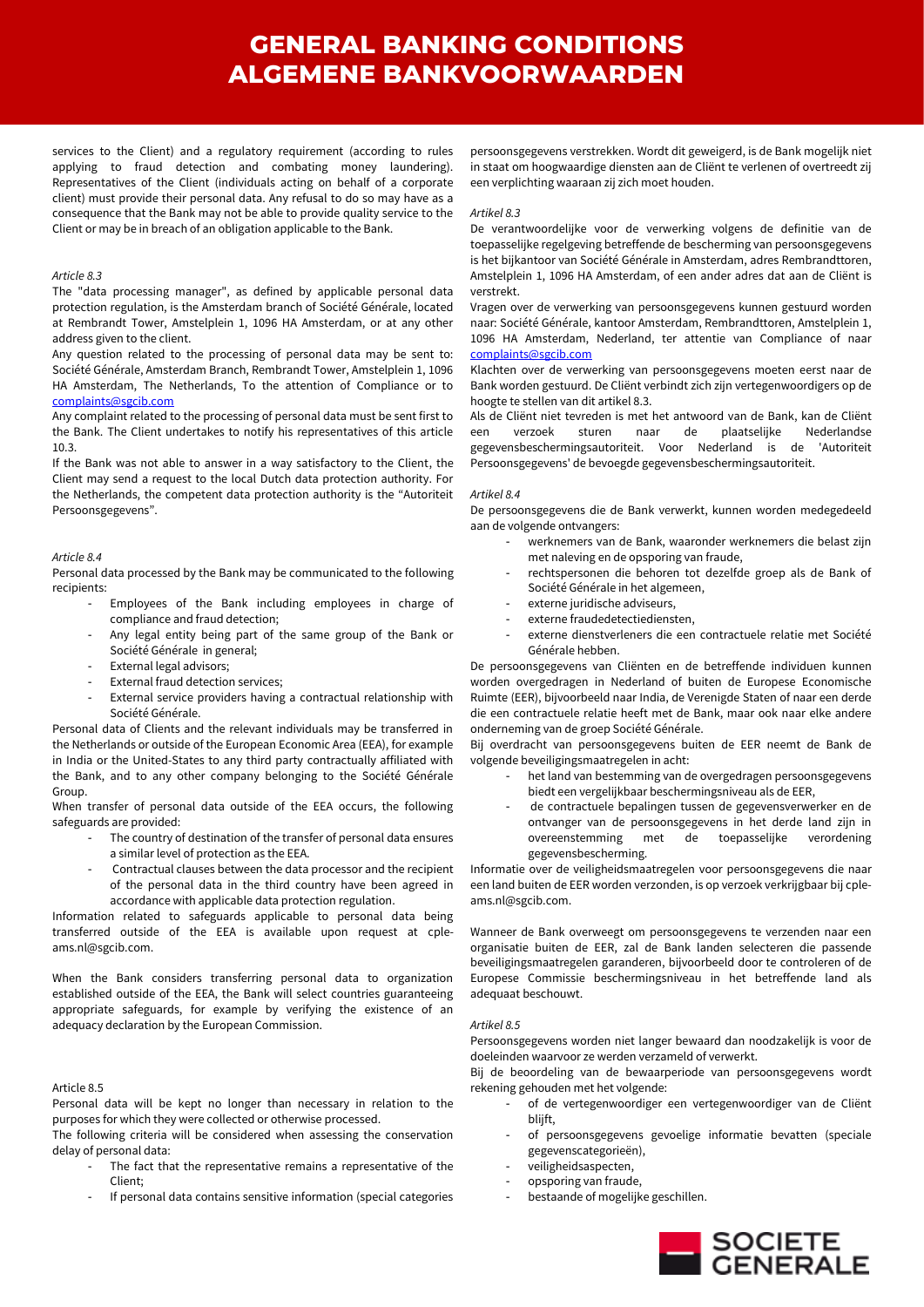services to the Client) and a regulatory requirement (according to rules applying to fraud detection and combating money laundering). Representatives of the Client (individuals acting on behalf of a corporate client) must provide their personal data. Any refusal to do so may have as a consequence that the Bank may not be able to provide quality service to the Client or may be in breach of an obligation applicable to the Bank.

### *Article 8.3*

The "data processing manager", as defined by applicable personal data protection regulation, is the Amsterdam branch of Société Générale, located at Rembrandt Tower, Amstelplein 1, 1096 HA Amsterdam, or at any other address given to the client.

Any question related to the processing of personal data may be sent to: Société Générale, Amsterdam Branch, Rembrandt Tower, Amstelplein 1, 1096 HA Amsterdam, The Netherlands, To the attention of Compliance or to [complaints@sgcib.com](mailto:complaints@sgcib.com)

Any complaint related to the processing of personal data must be sent first to the Bank. The Client undertakes to notify his representatives of this article 10.3.

If the Bank was not able to answer in a way satisfactory to the Client, the Client may send a request to the local Dutch data protection authority. For the Netherlands, the competent data protection authority is the "Autoriteit Persoonsgegevens".

## *Article 8.4*

Personal data processed by the Bank may be communicated to the following recipients:

- Employees of the Bank including employees in charge of compliance and fraud detection;
- Any legal entity being part of the same group of the Bank or Société Générale in general;
- External legal advisors;
- External fraud detection services;
- External service providers having a contractual relationship with Société Générale.

Personal data of Clients and the relevant individuals may be transferred in the Netherlands or outside of the European Economic Area (EEA), for example in India or the United-States to any third party contractually affiliated with the Bank, and to any other company belonging to the Société Générale Group.

When transfer of personal data outside of the EEA occurs, the following safeguards are provided:

- The country of destination of the transfer of personal data ensures a similar level of protection as the EEA.
- Contractual clauses between the data processor and the recipient of the personal data in the third country have been agreed in accordance with applicable data protection regulation.

Information related to safeguards applicable to personal data being transferred outside of the EEA is available upon request at cpleams.nl@sgcib.com.

When the Bank considers transferring personal data to organization established outside of the EEA, the Bank will select countries guaranteeing appropriate safeguards, for example by verifying the existence of an adequacy declaration by the European Commission.

## Article 8.5

Personal data will be kept no longer than necessary in relation to the purposes for which they were collected or otherwise processed.

The following criteria will be considered when assessing the conservation delay of personal data:

- The fact that the representative remains a representative of the Client;
- If personal data contains sensitive information (special categories

persoonsgegevens verstrekken. Wordt dit geweigerd, is de Bank mogelijk niet in staat om hoogwaardige diensten aan de Cliënt te verlenen of overtreedt zij een verplichting waaraan zij zich moet houden.

### *Artikel 8.3*

De verantwoordelijke voor de verwerking volgens de definitie van de toepasselijke regelgeving betreffende de bescherming van persoonsgegevens is het bijkantoor van Société Générale in Amsterdam, adres Rembrandttoren, Amstelplein 1, 1096 HA Amsterdam, of een ander adres dat aan de Cliënt is verstrekt.

Vragen over de verwerking van persoonsgegevens kunnen gestuurd worden naar: Société Générale, kantoor Amsterdam, Rembrandttoren, Amstelplein 1, 1096 HA Amsterdam, Nederland, ter attentie van Compliance of naar [complaints@sgcib.com](mailto:complaints@sgcib.com)

Klachten over de verwerking van persoonsgegevens moeten eerst naar de Bank worden gestuurd. De Cliënt verbindt zich zijn vertegenwoordigers op de hoogte te stellen van dit artikel 8.3.

Als de Cliënt niet tevreden is met het antwoord van de Bank, kan de Cliënt een verzoek sturen naar de plaatselijke Nederlandse gegevensbeschermingsautoriteit. Voor Nederland is de 'Autoriteit Persoonsgegevens' de bevoegde gegevensbeschermingsautoriteit.

## *Artikel 8.4*

De persoonsgegevens die de Bank verwerkt, kunnen worden medegedeeld aan de volgende ontvangers:

- werknemers van de Bank, waaronder werknemers die belast zijn met naleving en de opsporing van fraude,
- rechtspersonen die behoren tot dezelfde groep als de Bank of Société Générale in het algemeen,
- externe juridische adviseurs,
- externe fraudedetectiediensten,
- externe dienstverleners die een contractuele relatie met Société Générale hebben.

De persoonsgegevens van Cliënten en de betreffende individuen kunnen worden overgedragen in Nederland of buiten de Europese Economische Ruimte (EER), bijvoorbeeld naar India, de Verenigde Staten of naar een derde die een contractuele relatie heeft met de Bank, maar ook naar elke andere onderneming van de groep Société Générale.

Bij overdracht van persoonsgegevens buiten de EER neemt de Bank de volgende beveiligingsmaatregelen in acht:

- het land van bestemming van de overgedragen persoonsgegevens biedt een vergelijkbaar beschermingsniveau als de EER,
- de contractuele bepalingen tussen de gegevensverwerker en de ontvanger van de persoonsgegevens in het derde land zijn in overeenstemming met de toepasselijke verordening gegevensbescherming.

Informatie over de veiligheidsmaatregelen voor persoonsgegevens die naar een land buiten de EER worden verzonden, is op verzoek verkrijgbaar bij cpleams.nl@sgcib.com.

Wanneer de Bank overweegt om persoonsgegevens te verzenden naar een organisatie buiten de EER, zal de Bank landen selecteren die passende beveiligingsmaatregelen garanderen, bijvoorbeeld door te controleren of de Europese Commissie beschermingsniveau in het betreffende land als adequaat beschouwt.

## *Artikel 8.5*

Persoonsgegevens worden niet langer bewaard dan noodzakelijk is voor de doeleinden waarvoor ze werden verzameld of verwerkt.

Bij de beoordeling van de bewaarperiode van persoonsgegevens wordt rekening gehouden met het volgende:

- of de vertegenwoordiger een vertegenwoordiger van de Cliënt blijft,
	- of persoonsgegevens gevoelige informatie bevatten (speciale gegevenscategorieën),
	- veiligheidsaspecten,
- opsporing van fraude,
- bestaande of mogelijke geschillen.

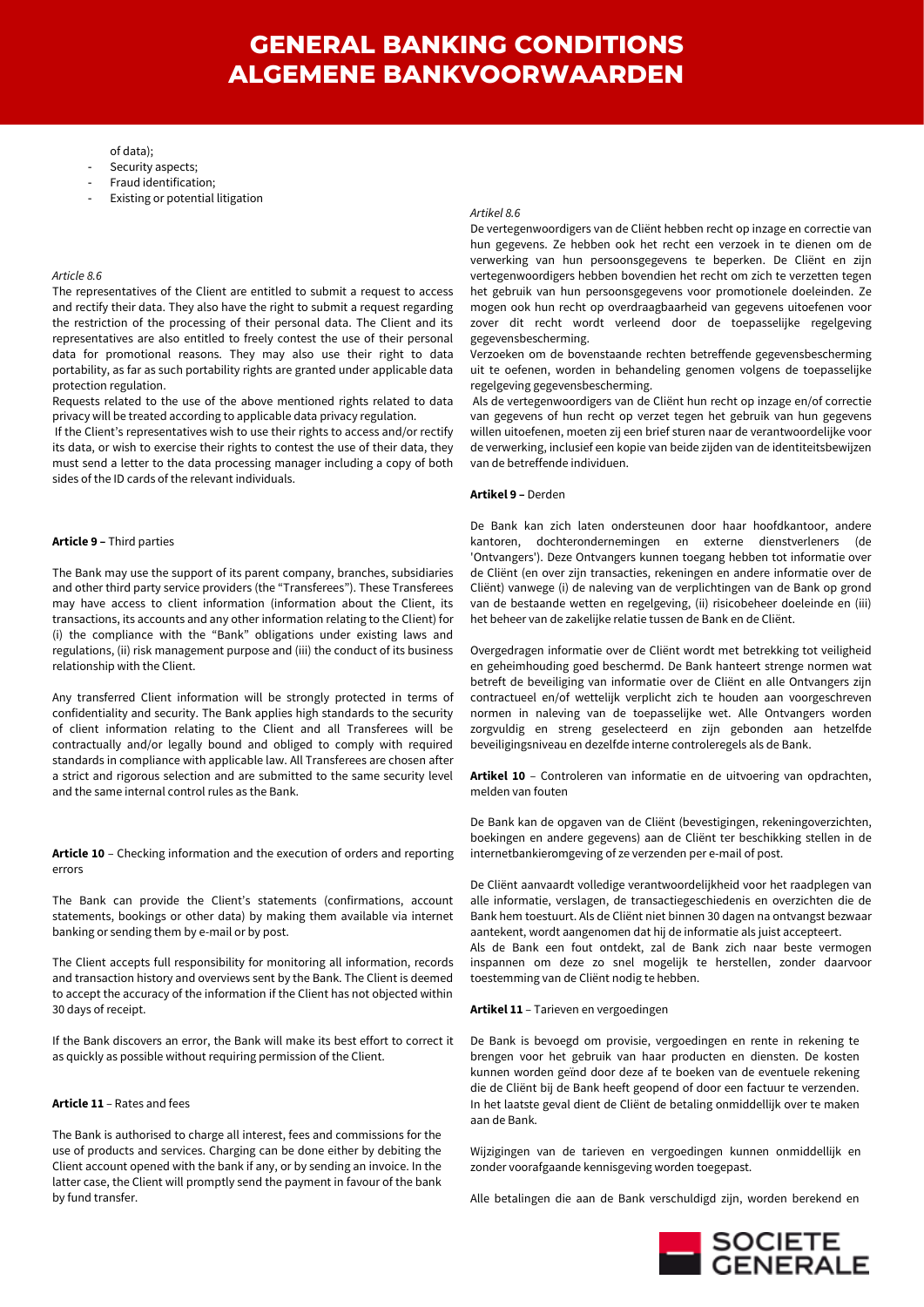### of data);

- Security aspects;
- Fraud identification;
- Existing or potential litigation

#### *Article 8.6*

The representatives of the Client are entitled to submit a request to access and rectify their data. They also have the right to submit a request regarding the restriction of the processing of their personal data. The Client and its representatives are also entitled to freely contest the use of their personal data for promotional reasons. They may also use their right to data portability, as far as such portability rights are granted under applicable data protection regulation.

Requests related to the use of the above mentioned rights related to data privacy will be treated according to applicable data privacy regulation.

If the Client's representatives wish to use their rights to access and/or rectify its data, or wish to exercise their rights to contest the use of their data, they must send a letter to the data processing manager including a copy of both sides of the ID cards of the relevant individuals.

### **Article 9 –** Third parties

The Bank may use the support of its parent company, branches, subsidiaries and other third party service providers (the "Transferees"). These Transferees may have access to client information (information about the Client, its transactions, its accounts and any other information relating to the Client) for (i) the compliance with the "Bank" obligations under existing laws and regulations, (ii) risk management purpose and (iii) the conduct of its business relationship with the Client.

Any transferred Client information will be strongly protected in terms of confidentiality and security. The Bank applies high standards to the security of client information relating to the Client and all Transferees will be contractually and/or legally bound and obliged to comply with required standards in compliance with applicable law. All Transferees are chosen after a strict and rigorous selection and are submitted to the same security level and the same internal control rules as the Bank.

**Article 10** – Checking information and the execution of orders and reporting errors

The Bank can provide the Client's statements (confirmations, account statements, bookings or other data) by making them available via internet banking or sending them by e-mail or by post.

The Client accepts full responsibility for monitoring all information, records and transaction history and overviews sent by the Bank. The Client is deemed to accept the accuracy of the information if the Client has not objected within 30 days of receipt.

If the Bank discovers an error, the Bank will make its best effort to correct it as quickly as possible without requiring permission of the Client.

## **Article 11** – Rates and fees

The Bank is authorised to charge all interest, fees and commissions for the use of products and services. Charging can be done either by debiting the Client account opened with the bank if any, or by sending an invoice. In the latter case, the Client will promptly send the payment in favour of the bank by fund transfer.

#### *Artikel 8.6*

De vertegenwoordigers van de Cliënt hebben recht op inzage en correctie van hun gegevens. Ze hebben ook het recht een verzoek in te dienen om de verwerking van hun persoonsgegevens te beperken. De Cliënt en zijn vertegenwoordigers hebben bovendien het recht om zich te verzetten tegen het gebruik van hun persoonsgegevens voor promotionele doeleinden. Ze mogen ook hun recht op overdraagbaarheid van gegevens uitoefenen voor zover dit recht wordt verleend door de toepasselijke regelgeving gegevensbescherming.

Verzoeken om de bovenstaande rechten betreffende gegevensbescherming uit te oefenen, worden in behandeling genomen volgens de toepasselijke regelgeving gegevensbescherming.

Als de vertegenwoordigers van de Cliënt hun recht op inzage en/of correctie van gegevens of hun recht op verzet tegen het gebruik van hun gegevens willen uitoefenen, moeten zij een brief sturen naar de verantwoordelijke voor de verwerking, inclusief een kopie van beide zijden van de identiteitsbewijzen van de betreffende individuen.

#### **Artikel 9 –** Derden

De Bank kan zich laten ondersteunen door haar hoofdkantoor, andere kantoren, dochterondernemingen en externe dienstverleners (de 'Ontvangers'). Deze Ontvangers kunnen toegang hebben tot informatie over de Cliënt (en over zijn transacties, rekeningen en andere informatie over de Cliënt) vanwege (i) de naleving van de verplichtingen van de Bank op grond van de bestaande wetten en regelgeving, (ii) risicobeheer doeleinde en (iii) het beheer van de zakelijke relatie tussen de Bank en de Cliënt.

Overgedragen informatie over de Cliënt wordt met betrekking tot veiligheid en geheimhouding goed beschermd. De Bank hanteert strenge normen wat betreft de beveiliging van informatie over de Cliënt en alle Ontvangers zijn contractueel en/of wettelijk verplicht zich te houden aan voorgeschreven normen in naleving van de toepasselijke wet. Alle Ontvangers worden zorgvuldig en streng geselecteerd en zijn gebonden aan hetzelfde beveiligingsniveau en dezelfde interne controleregels als de Bank.

**Artikel 10** – Controleren van informatie en de uitvoering van opdrachten, melden van fouten

De Bank kan de opgaven van de Cliënt (bevestigingen, rekeningoverzichten, boekingen en andere gegevens) aan de Cliënt ter beschikking stellen in de internetbankieromgeving of ze verzenden per e-mail of post.

De Cliënt aanvaardt volledige verantwoordelijkheid voor het raadplegen van alle informatie, verslagen, de transactiegeschiedenis en overzichten die de Bank hem toestuurt. Als de Cliënt niet binnen 30 dagen na ontvangst bezwaar aantekent, wordt aangenomen dat hij de informatie als juist accepteert.

Als de Bank een fout ontdekt, zal de Bank zich naar beste vermogen inspannen om deze zo snel mogelijk te herstellen, zonder daarvoor toestemming van de Cliënt nodig te hebben.

### **Artikel 11** – Tarieven en vergoedingen

De Bank is bevoegd om provisie, vergoedingen en rente in rekening te brengen voor het gebruik van haar producten en diensten. De kosten kunnen worden geïnd door deze af te boeken van de eventuele rekening die de Cliënt bij de Bank heeft geopend of door een factuur te verzenden. In het laatste geval dient de Cliënt de betaling onmiddellijk over te maken aan de Bank.

Wijzigingen van de tarieven en vergoedingen kunnen onmiddellijk en zonder voorafgaande kennisgeving worden toegepast.

Alle betalingen die aan de Bank verschuldigd zijn, worden berekend en

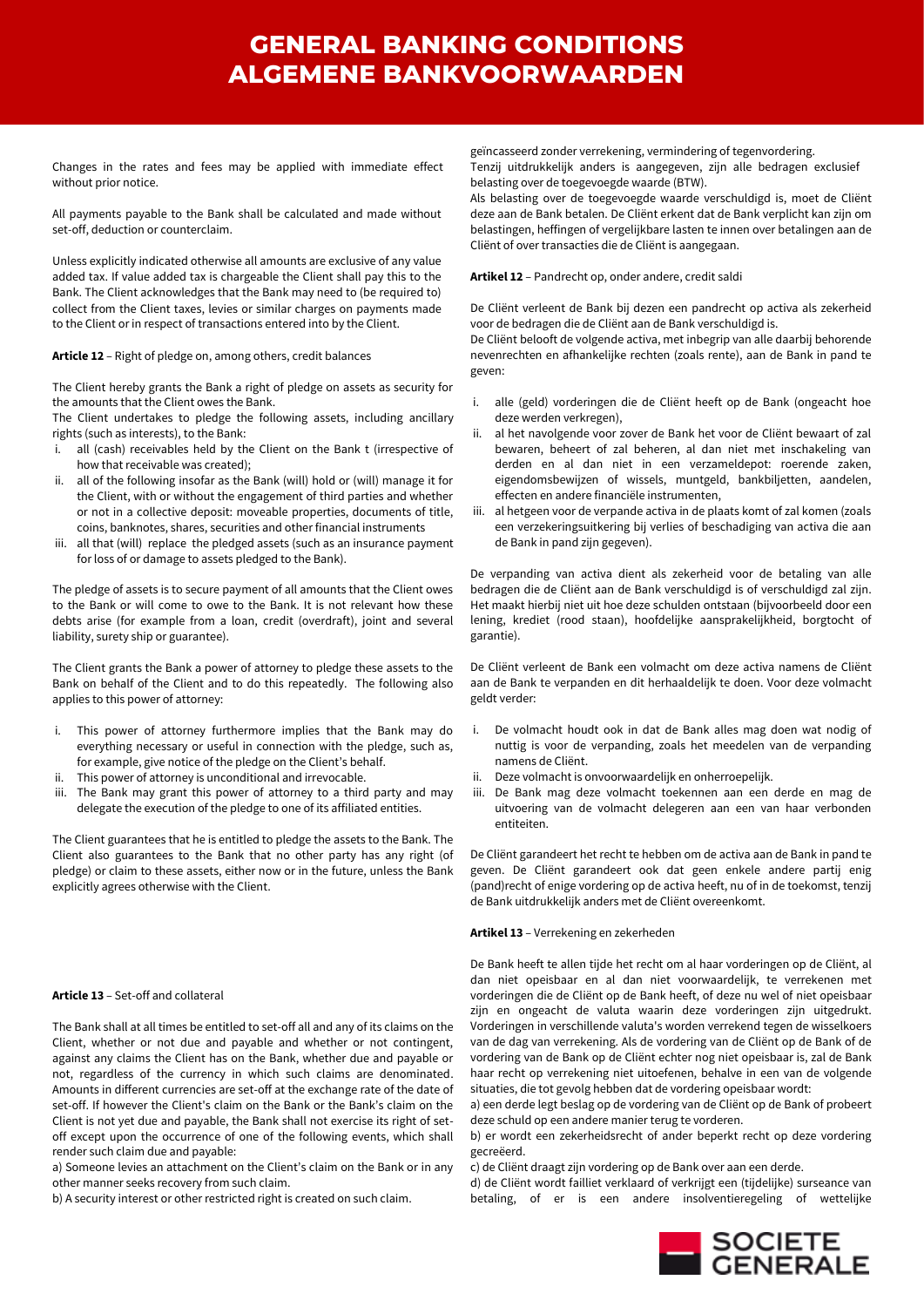Changes in the rates and fees may be applied with immediate effect without prior notice.

All payments payable to the Bank shall be calculated and made without set-off, deduction or counterclaim.

Unless explicitly indicated otherwise all amounts are exclusive of any value added tax. If value added tax is chargeable the Client shall pay this to the Bank. The Client acknowledges that the Bank may need to (be required to) collect from the Client taxes, levies or similar charges on payments made to the Client or in respect of transactions entered into by the Client.

**Article 12** – Right of pledge on, among others, credit balances

The Client hereby grants the Bank a right of pledge on assets as security for the amounts that the Client owes the Bank.

The Client undertakes to pledge the following assets, including ancillary rights (such as interests), to the Bank:

- i. all (cash) receivables held by the Client on the Bank t (irrespective of how that receivable was created);
- ii. all of the following insofar as the Bank (will) hold or (will) manage it for the Client, with or without the engagement of third parties and whether or not in a collective deposit: moveable properties, documents of title, coins, banknotes, shares, securities and other financial instruments
- iii. all that (will) replace the pledged assets (such as an insurance payment for loss of or damage to assets pledged to the Bank).

The pledge of assets is to secure payment of all amounts that the Client owes to the Bank or will come to owe to the Bank. It is not relevant how these debts arise (for example from a loan, credit (overdraft), joint and several liability, surety ship or guarantee).

The Client grants the Bank a power of attorney to pledge these assets to the Bank on behalf of the Client and to do this repeatedly. The following also applies to this power of attorney:

- i. This power of attorney furthermore implies that the Bank may do everything necessary or useful in connection with the pledge, such as, for example, give notice of the pledge on the Client's behalf.
- ii. This power of attorney is unconditional and irrevocable.
- The Bank may grant this power of attorney to a third party and may delegate the execution of the pledge to one of its affiliated entities.

The Client guarantees that he is entitled to pledge the assets to the Bank. The Client also guarantees to the Bank that no other party has any right (of pledge) or claim to these assets, either now or in the future, unless the Bank explicitly agrees otherwise with the Client.

## **Article 13** – Set-off and collateral

The Bank shall at all times be entitled to set-off all and any of its claims on the Client, whether or not due and payable and whether or not contingent, against any claims the Client has on the Bank, whether due and payable or not, regardless of the currency in which such claims are denominated. Amounts in different currencies are set-off at the exchange rate of the date of set-off. If however the Client's claim on the Bank or the Bank's claim on the Client is not yet due and payable, the Bank shall not exercise its right of setoff except upon the occurrence of one of the following events, which shall render such claim due and payable:

a) Someone levies an attachment on the Client's claim on the Bank or in any other manner seeks recovery from such claim.

b) A security interest or other restricted right is created on such claim.

geïncasseerd zonder verrekening, vermindering of tegenvordering. Tenzij uitdrukkelijk anders is aangegeven, zijn alle bedragen exclusief belasting over de toegevoegde waarde (BTW).

Als belasting over de toegevoegde waarde verschuldigd is, moet de Cliënt deze aan de Bank betalen. De Cliënt erkent dat de Bank verplicht kan zijn om belastingen, heffingen of vergelijkbare lasten te innen over betalingen aan de Cliënt of over transacties die de Cliënt is aangegaan.

**Artikel 12** – Pandrecht op, onder andere, credit saldi

De Cliënt verleent de Bank bij dezen een pandrecht op activa als zekerheid voor de bedragen die de Cliënt aan de Bank verschuldigd is.

De Cliënt belooft de volgende activa, met inbegrip van alle daarbij behorende nevenrechten en afhankelijke rechten (zoals rente), aan de Bank in pand te geven:

- i. alle (geld) vorderingen die de Cliënt heeft op de Bank (ongeacht hoe deze werden verkregen),
- ii. al het navolgende voor zover de Bank het voor de Cliënt bewaart of zal bewaren, beheert of zal beheren, al dan niet met inschakeling van derden en al dan niet in een verzameldepot: roerende zaken, eigendomsbewijzen of wissels, muntgeld, bankbiljetten, aandelen, effecten en andere financiële instrumenten,
- iii. al hetgeen voor de verpande activa in de plaats komt of zal komen (zoals een verzekeringsuitkering bij verlies of beschadiging van activa die aan de Bank in pand zijn gegeven).

De verpanding van activa dient als zekerheid voor de betaling van alle bedragen die de Cliënt aan de Bank verschuldigd is of verschuldigd zal zijn. Het maakt hierbij niet uit hoe deze schulden ontstaan (bijvoorbeeld door een lening, krediet (rood staan), hoofdelijke aansprakelijkheid, borgtocht of garantie).

De Cliënt verleent de Bank een volmacht om deze activa namens de Cliënt aan de Bank te verpanden en dit herhaaldelijk te doen. Voor deze volmacht geldt verder:

- i. De volmacht houdt ook in dat de Bank alles mag doen wat nodig of nuttig is voor de verpanding, zoals het meedelen van de verpanding namens de Cliënt.
- ii. Deze volmacht is onvoorwaardelijk en onherroepelijk.
- iii. De Bank mag deze volmacht toekennen aan een derde en mag de uitvoering van de volmacht delegeren aan een van haar verbonden entiteiten.

De Cliënt garandeert het recht te hebben om de activa aan de Bank in pand te geven. De Cliënt garandeert ook dat geen enkele andere partij enig (pand)recht of enige vordering op de activa heeft, nu of in de toekomst, tenzij de Bank uitdrukkelijk anders met de Cliënt overeenkomt.

#### **Artikel 13** – Verrekening en zekerheden

De Bank heeft te allen tijde het recht om al haar vorderingen op de Cliënt, al dan niet opeisbaar en al dan niet voorwaardelijk, te verrekenen met vorderingen die de Cliënt op de Bank heeft, of deze nu wel of niet opeisbaar zijn en ongeacht de valuta waarin deze vorderingen zijn uitgedrukt. Vorderingen in verschillende valuta's worden verrekend tegen de wisselkoers van de dag van verrekening. Als de vordering van de Cliënt op de Bank of de vordering van de Bank op de Cliënt echter nog niet opeisbaar is, zal de Bank haar recht op verrekening niet uitoefenen, behalve in een van de volgende situaties, die tot gevolg hebben dat de vordering opeisbaar wordt:

a) een derde legt beslag op de vordering van de Cliënt op de Bank of probeert deze schuld op een andere manier terug te vorderen.

b) er wordt een zekerheidsrecht of ander beperkt recht op deze vordering gecreëerd.

c) de Cliënt draagt zijn vordering op de Bank over aan een derde.

d) de Cliënt wordt failliet verklaard of verkrijgt een (tijdelijke) surseance van betaling, of er is een andere insolventieregeling of wettelijke

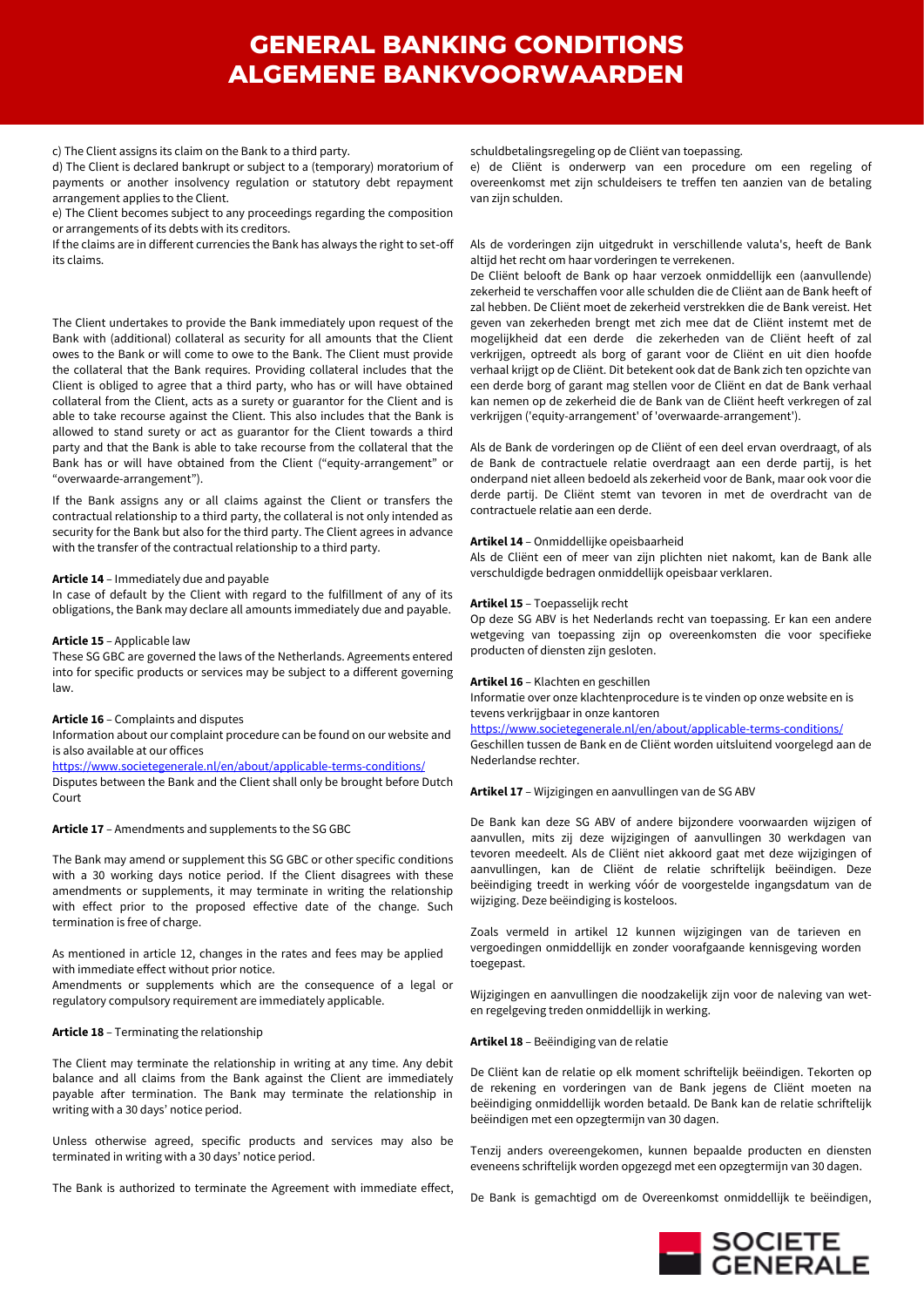c) The Client assigns its claim on the Bank to a third party.

d) The Client is declared bankrupt or subject to a (temporary) moratorium of payments or another insolvency regulation or statutory debt repayment arrangement applies to the Client.

e) The Client becomes subject to any proceedings regarding the composition or arrangements of its debts with its creditors.

If the claims are in different currencies the Bank has always the right to set-off its claims.

The Client undertakes to provide the Bank immediately upon request of the Bank with (additional) collateral as security for all amounts that the Client owes to the Bank or will come to owe to the Bank. The Client must provide the collateral that the Bank requires. Providing collateral includes that the Client is obliged to agree that a third party, who has or will have obtained collateral from the Client, acts as a surety or guarantor for the Client and is able to take recourse against the Client. This also includes that the Bank is allowed to stand surety or act as guarantor for the Client towards a third party and that the Bank is able to take recourse from the collateral that the Bank has or will have obtained from the Client ("equity-arrangement" or "overwaarde-arrangement").

If the Bank assigns any or all claims against the Client or transfers the contractual relationship to a third party, the collateral is not only intended as security for the Bank but also for the third party. The Client agrees in advance with the transfer of the contractual relationship to a third party.

## **Article 14** – Immediately due and payable

In case of default by the Client with regard to the fulfillment of any of its obligations, the Bank may declare all amounts immediately due and payable.

## **Article 15** – Applicable law

These SG GBC are governed the laws of the Netherlands. Agreements entered into for specific products or services may be subject to a different governing law.

## **Article 16** – Complaints and disputes

Information about our complaint procedure can be found on our website and is also available at our offices

<https://www.societegenerale.nl/en/about/applicable-terms-conditions/>

Disputes between the Bank and the Client shall only be brought before Dutch Court

## **Article 17** – Amendments and supplements to the SG GBC

The Bank may amend or supplement this SG GBC or other specific conditions with a 30 working days notice period. If the Client disagrees with these amendments or supplements, it may terminate in writing the relationship with effect prior to the proposed effective date of the change. Such termination is free of charge.

As mentioned in article 12, changes in the rates and fees may be applied with immediate effect without prior notice.

Amendments or supplements which are the consequence of a legal or regulatory compulsory requirement are immediately applicable.

## **Article 18** – Terminating the relationship

The Client may terminate the relationship in writing at any time. Any debit balance and all claims from the Bank against the Client are immediately payable after termination. The Bank may terminate the relationship in writing with a 30 days' notice period.

Unless otherwise agreed, specific products and services may also be terminated in writing with a 30 days' notice period.

The Bank is authorized to terminate the Agreement with immediate effect,

schuldbetalingsregeling op de Cliënt van toepassing.

e) de Cliënt is onderwerp van een procedure om een regeling of overeenkomst met zijn schuldeisers te treffen ten aanzien van de betaling van zijn schulden.

## Als de vorderingen zijn uitgedrukt in verschillende valuta's, heeft de Bank altijd het recht om haar vorderingen te verrekenen.

De Cliënt belooft de Bank op haar verzoek onmiddellijk een (aanvullende) zekerheid te verschaffen voor alle schulden die de Cliënt aan de Bank heeft of zal hebben. De Cliënt moet de zekerheid verstrekken die de Bank vereist. Het geven van zekerheden brengt met zich mee dat de Cliënt instemt met de mogelijkheid dat een derde die zekerheden van de Cliënt heeft of zal verkrijgen, optreedt als borg of garant voor de Cliënt en uit dien hoofde verhaal krijgt op de Cliënt. Dit betekent ook dat de Bank zich ten opzichte van een derde borg of garant mag stellen voor de Cliënt en dat de Bank verhaal kan nemen op de zekerheid die de Bank van de Cliënt heeft verkregen of zal verkrijgen ('equity-arrangement' of 'overwaarde-arrangement').

Als de Bank de vorderingen op de Cliënt of een deel ervan overdraagt, of als de Bank de contractuele relatie overdraagt aan een derde partij, is het onderpand niet alleen bedoeld als zekerheid voor de Bank, maar ook voor die derde partij. De Cliënt stemt van tevoren in met de overdracht van de contractuele relatie aan een derde.

## **Artikel 14** – Onmiddellijke opeisbaarheid

Als de Cliënt een of meer van zijn plichten niet nakomt, kan de Bank alle verschuldigde bedragen onmiddellijk opeisbaar verklaren.

## **Artikel 15** – Toepasselijk recht

Op deze SG ABV is het Nederlands recht van toepassing. Er kan een andere wetgeving van toepassing zijn op overeenkomsten die voor specifieke producten of diensten zijn gesloten.

## **Artikel 16** – Klachten en geschillen

Informatie over onze klachtenprocedure is te vinden op onze website en is tevens verkrijgbaar in onze kantoren

### <https://www.societegenerale.nl/en/about/applicable-terms-conditions/>

Geschillen tussen de Bank en de Cliënt worden uitsluitend voorgelegd aan de Nederlandse rechter.

## **Artikel 17** – Wijzigingen en aanvullingen van de SG ABV

De Bank kan deze SG ABV of andere bijzondere voorwaarden wijzigen of aanvullen, mits zij deze wijzigingen of aanvullingen 30 werkdagen van tevoren meedeelt. Als de Cliënt niet akkoord gaat met deze wijzigingen of aanvullingen, kan de Cliënt de relatie schriftelijk beëindigen. Deze beëindiging treedt in werking vóór de voorgestelde ingangsdatum van de wijziging. Deze beëindiging is kosteloos.

Zoals vermeld in artikel 12 kunnen wijzigingen van de tarieven en vergoedingen onmiddellijk en zonder voorafgaande kennisgeving worden toegepast.

Wijzigingen en aanvullingen die noodzakelijk zijn voor de naleving van weten regelgeving treden onmiddellijk in werking.

## **Artikel 18** – Beëindiging van de relatie

De Cliënt kan de relatie op elk moment schriftelijk beëindigen. Tekorten op de rekening en vorderingen van de Bank jegens de Cliënt moeten na beëindiging onmiddellijk worden betaald. De Bank kan de relatie schriftelijk beëindigen met een opzegtermijn van 30 dagen.

Tenzij anders overeengekomen, kunnen bepaalde producten en diensten eveneens schriftelijk worden opgezegd met een opzegtermijn van 30 dagen.

De Bank is gemachtigd om de Overeenkomst onmiddellijk te beëindigen,